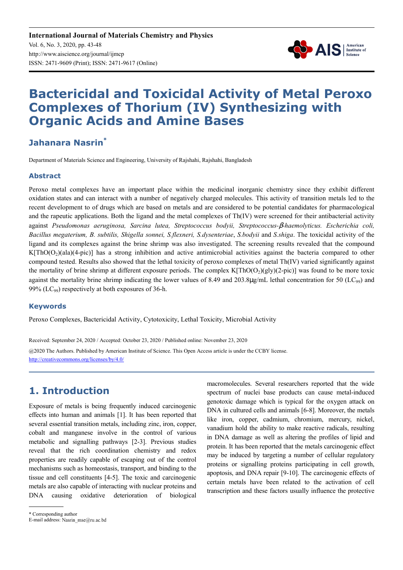**International Journal of Materials Chemistry and Physics** Vol. 6, No. 3, 2020, pp. 43-48 http://www.aiscience.org/journal/ijmcp ISSN: 2471-9609 (Print); ISSN: 2471-9617 (Online)



# **Bactericidal and Toxicidal Activity of Metal Peroxo Complexes of Thorium (IV) Synthesizing with Organic Acids and Amine Bases**

### **Jahanara Nasrin\***

Department of Materials Science and Engineering, University of Rajshahi, Rajshahi, Bangladesh

#### **Abstract**

Peroxo metal complexes have an important place within the medicinal inorganic chemistry since they exhibit different oxidation states and can interact with a number of negatively charged molecules. This activity of transition metals led to the recent development to of drugs which are based on metals and are considered to be potential candidates for pharmacological and the rapeutic applications. Both the ligand and the metal complexes of Th(IV) were screened for their antibacterial activity against *Pseudomonas aeruginosa, Sarcina lutea, Streptococcus bodyii, Streptococcus-*β*-haemolyticus. Escherichia coli, Bacillus megaterium, B. subtilis, Shigella sonnei, S.flexneri, S.dysenteriae*, *S.bodyii* and *S.shiga*. The toxicidal activity of the ligand and its complexes against the brine shrimp was also investigated. The screening results revealed that the compound  $K[ThO(O<sub>2</sub>)(ala)(4-pic)]$  has a strong inhibition and active antimicrobial activities against the bacteria compared to other compound tested. Results also showed that the lethal toxicity of peroxo complexes of metal Th(IV) varied significantly against the mortality of brine shrimp at different exposure periods. The complex  $K[ThO(O<sub>2</sub>)(g|v)(2-pic)]$  was found to be more toxic against the mortality brine shrimp indicating the lower values of 8.49 and 203.8µg/mL lethal concentration for 50 (LC<sub>99</sub>) and 99% ( $LC_{99}$ ) respectively at both exposures of 36-h.

#### **Keywords**

Peroxo Complexes, Bactericidal Activity, Cytotoxicity, Lethal Toxicity, Microbial Activity

Received: September 24, 2020 / Accepted: October 23, 2020 / Published online: November 23, 2020 @2020 The Authors. Published by American Institute of Science. This Open Access article is under the CCBY license. http://creativecommons.org/licenses/by/4.0/

# **1. Introduction**

Exposure of metals is being frequently induced carcinogenic effects into human and animals [1]. It has been reported that several essential transition metals, including zinc, iron, copper, cobalt and manganese involve in the control of various metabolic and signalling pathways [2-3]. Previous studies reveal that the rich coordination chemistry and redox properties are readily capable of escaping out of the control mechanisms such as homeostasis, transport, and binding to the tissue and cell constituents [4-5]. The toxic and carcinogenic metals are also capable of interacting with nuclear proteins and DNA causing oxidative deterioration of biological macromolecules. Several researchers reported that the wide spectrum of nuclei base products can cause metal-induced genotoxic damage which is typical for the oxygen attack on DNA in cultured cells and animals [6-8]. Moreover, the metals like iron, copper, cadmium, chromium, mercury, nickel, vanadium hold the ability to make reactive radicals, resulting in DNA damage as well as altering the profiles of lipid and protein. It has been reported that the metals carcinogenic effect may be induced by targeting a number of cellular regulatory proteins or signalling proteins participating in cell growth, apoptosis, and DNA repair [9-10]. The carcinogenic effects of certain metals have been related to the activation of cell transcription and these factors usually influence the protective

<sup>\*</sup> Corresponding author

E-mail address: Nasrin\_mse@ru.ac.bd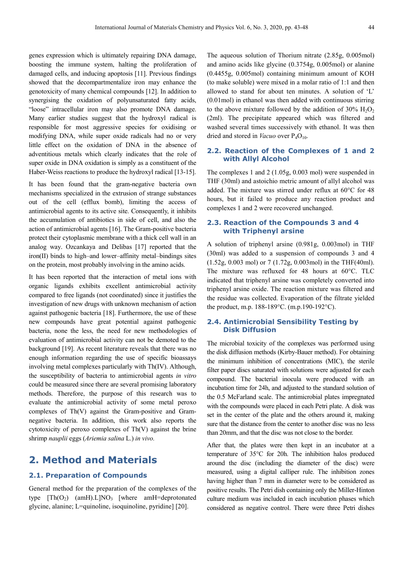genes expression which is ultimately repairing DNA damage, boosting the immune system, halting the proliferation of damaged cells, and inducing apoptosis [11]. Previous findings showed that the decompartmentalize iron may enhance the genotoxicity of many chemical compounds [12]. In addition to synergising the oxidation of polyunsaturated fatty acids, "loose" intracellular iron may also promote DNA damage. Many earlier studies suggest that the hydroxyl radical is responsible for most aggressive species for oxidising or modifying DNA, while super oxide radicals had no or very little effect on the oxidation of DNA in the absence of adventitious metals which clearly indicates that the role of super oxide in DNA oxidation is simply as a constituent of the Haber-Weiss reactions to produce the hydroxyl radical [13-15].

It has been found that the gram-negative bacteria own mechanisms specialized in the extrusion of strange substances out of the cell (efflux bomb), limiting the access of antimicrobial agents to its active site. Consequently, it inhibits the accumulation of antibiotics in side of cell, and also the action of antimicrobial agents [16]. The Gram-positive bacteria protect their cytoplasmic membrane with a thick cell wall in an analog way. Ozcankaya and Delibas [17] reported that the iron(II) binds to high–and lower–affinity metal–bindings sites on the protein, most probably involving in the amino acids.

It has been reported that the interaction of metal ions with organic ligands exhibits excellent antimicrobial activity compared to free ligands (not coordinated) since it justifies the investigation of new drugs with unknown mechanism of action against pathogenic bacteria [18]. Furthermore, the use of these new compounds have great potential against pathogenic bacteria, none the less, the need for new methodologies of evaluation of antimicrobial activity can not be demoted to the background [19]. As recent literature reveals that there was no enough information regarding the use of specific bioassays involving metal complexes particularly with Th(IV). Although, the susceptibility of bacteria to antimicrobial agents *in vitro*  could be measured since there are several promising laboratory methods. Therefore, the purpose of this research was to evaluate the antimicrobial activity of some metal peroxo complexes of Th(V) against the Gram-positive and Gramnegative bacteria. In addition, this work also reports the cytotoxicity of peroxo complexes of Th(V) against the brine shrimp *nauplii* eggs (*Ariemia salina* L.) *in vivo.*

### **2. Method and Materials**

#### **2.1. Preparation of Compounds**

General method for the preparation of the complexes of the type  $[Th(O_2)$  (amH).L]NO<sub>3</sub> [where amH=deprotonated glycine, alanine; L=quinoline, isoquinoline, pyridine] [20].

The aqueous solution of Thorium nitrate (2.85g, 0.005mol) and amino acids like glycine (0.3754g, 0.005mol) or alanine (0.4455g, 0.005mol) containing minimum amount of KOH (to make soluble) were mixed in a molar ratio of 1:1 and then allowed to stand for about ten minutes. A solution of 'L' (0.01mol) in ethanol was then added with continuous stirring to the above mixture followed by the addition of  $30\%$   $H_2O_2$ (2ml). The precipitate appeared which was filtered and washed several times successively with ethanol. It was then dried and stored in *Vacuo* over P<sub>4</sub>O<sub>10</sub>.

#### **2.2. Reaction of the Complexes of 1 and 2 with Allyl Alcohol**

The complexes 1 and 2 (1.05g, 0.003 mol) were suspended in THF (30ml) and astoichio metric amount of allyl alcohol was added. The mixture was stirred under reflux at 60°C for 48 hours, but it failed to produce any reaction product and complexes 1 and 2 were recovered unchanged.

#### **2.3. Reaction of the Compounds 3 and 4 with Triphenyl arsine**

A solution of triphenyl arsine (0.981g, 0.003mol) in THF (30ml) was added to a suspension of compounds 3 and 4 (1.52g, 0.003 mol) or 7 (1.72g, 0.003mol) in the THF(40ml). The mixture was refluxed for 48 hours at 60°C. TLC indicated that triphenyl arsine was completely converted into triphenyl arsine oxide. The reaction mixture was filtered and the residue was collected. Evaporation of the filtrate yielded the product, m.p. 188-189°C. (m.p.190-192°C).

#### **2.4. Antimicrobial Sensibility Testing by Disk Diffusion**

The microbial toxicity of the complexes was performed using the disk diffusion methods (Kirby-Bauer method). For obtaining the minimum inhibition of concentrations (MIC), the sterile filter paper discs saturated with solutions were adjusted for each compound. The bacterial inocula were produced with an incubation time for 24h, and adjusted to the standard solution of the 0.5 McFarland scale. The antimicrobial plates impregnated with the compounds were placed in each Petri plate. A disk was set in the center of the plate and the others around it, making sure that the distance from the center to another disc was no less than 20mm, and that the disc was not close to the border.

After that, the plates were then kept in an incubator at a temperature of 35°C for 20h. The inhibition halos produced around the disc (including the diameter of the disc) were measured, using a digital calliper rule. The inhibition zones having higher than 7 mm in diameter were to be considered as positive results. The Petri dish containing only the Miller-Hinton culture medium was included in each incubation phases which considered as negative control. There were three Petri dishes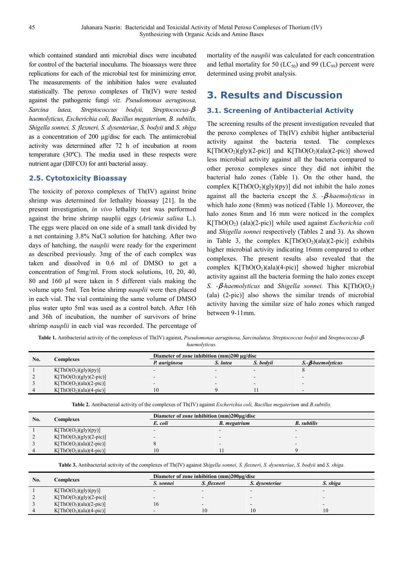which contained standard anti microbial discs were incubated for control of the bacterial inoculums. The bioassays were three replications for each of the microbial test for minimizing error. The measurements of the inhibition halos were evaluated statistically. The peroxo complexes of Th(IV) were tested against the pathogenic fungi *viz. Pseudomonas aeruginosa, Sarcina lutea, Streptococcus bodyii, Streptococcus-*β*haemolyticus, Escherichia coli, Bacillus megaterium, B. subtilis, Shigella sonnei, S. flexneri, S. dysenteriae*, *S. bodyii* and *S. shiga*  as a concentration of 200 µg/disc for each. The antimicrobial activity was determined after 72 h of incubation at room temperature (30ºC). The media used in these respects were nutrient agar (DIFCO) for anti bacterial assay.

#### **2.5. Cytotoxicity Bioassay**

The toxicity of peroxo complexes of Th(IV) against brine shrimp was determined for lethality bioassay [21]. In the present investigation, *in vivo* lethality test was performed against the brine shrimp nauplii eggs (*Ariemia salina* L.). The eggs were placed on one side of a small tank divided by a net containing 3.8% NaCl solution for hatching. After two days of hatching, the *nauplii* were ready for the experiment as described previously. 3mg of the of each complex was taken and dissolved in 0.6 ml of DMSO to get a concentration of 5mg/ml. From stock solutions, 10, 20, 40, 80 and 160 µl were taken in 5 different vials making the volume upto 5ml. Ten brine shrimp *nauplii* were then placed in each vial. The vial containing the same volume of DMSO plus water upto 5ml was used as a control batch. After 16h and 36h of incubation, the number of survivors of brine shrimp *nauplii* in each vial was recorded. The percentage of mortality of the *nauplii* was calculated for each concentration and lethal mortality for 50 ( $LC_{50}$ ) and 99 ( $LC_{99}$ ) percent were determined using probit analysis.

### **3. Results and Discussion**

#### **3.1. Screening of Antibacterial Activity**

The screening results of the present investigation revealed that the peroxo complexes of Th(IV) exhibit higher antibacterial activity against the bacteria tested. The complexes  $K[ThO(O<sub>2</sub>)(gly)(2-pic)]$  and  $K[ThO(O<sub>2</sub>)(ala)(2-pic)]$  showed less microbial activity against all the bacteria compared to other peroxo complexes since they did not inhibit the bacterial halo zones (Table 1). On the other hand, the complex  $K[ThO(O<sub>2</sub>)(gly)(py)]$  did not inhibit the halo zones against all the bacteria except the *S. -*β*-haemolyticus* in which halo zone (8mm) was noticed (Table 1). Moreover, the halo zones 8mm and 16 mm were noticed in the complex  $K[ThO(O<sub>2</sub>)$  (ala)(2-pic)] while used against *Escherichia coli* and *Shigella sonnei* respectively (Tables 2 and 3). As shown in Table 3, the complex  $K[ThO(O<sub>2</sub>)(ala)(2-pic)]$  exhibits higher microbial activity indicating 16mm compared to other complexes. The present results also revealed that the complex  $K[ThO(O<sub>2</sub>)(ala)(4-pic)]$  showed higher microbial activity against all the bacteria forming the halo zones except *S. -β-haemolyticus* and *Shigella sonnei*. This K[ThO(O<sub>2</sub>) (ala) (2-pic)] also shows the similar trends of microbial activity having the similar size of halo zones which ranged between 9-11mm.

Table 1. Antibacterial activity of the complexes of Th(IV) against, *Pseudomonas aeruginosa, Sarcinalutea, Streptococcus bodyii* and *Streptococcus-βhaemolyticus.*

| No. | Complexes                        | Diameter of zone inhibition (mm)200 µg/disc |                          |           |                   |
|-----|----------------------------------|---------------------------------------------|--------------------------|-----------|-------------------|
|     |                                  | P. auriginosa                               | S. lutea                 | S. bodvii | S.-B-haemolyticus |
|     | K[ThO(O <sub>2</sub> )(gly)(py)] |                                             |                          |           |                   |
|     | $K[ThO(O2)(gly)(2-pic)]$         |                                             | -                        |           |                   |
|     | $K[ThO(O2)(ala)(2-pic)]$         |                                             | $\overline{\phantom{a}}$ | -         |                   |
|     | $K[ThO(O2)(ala)(4-pic)]$         | 10                                          |                          |           |                   |

| <b>Table 2.</b> Antibacterial activity of the complexes of Th(IV) against <i>Escherichia coli, Bacillus megaterium</i> and <i>B.subtilis.</i> |  |  |
|-----------------------------------------------------------------------------------------------------------------------------------------------|--|--|
|-----------------------------------------------------------------------------------------------------------------------------------------------|--|--|

| No. | Complexes                        | Diameter of zone inhibition (mm)200µg/disc |              |                          |  |
|-----|----------------------------------|--------------------------------------------|--------------|--------------------------|--|
|     |                                  | E. coli                                    | B. megatrium | <b>B.</b> subtilis       |  |
|     | K[ThO(O <sub>2</sub> )(gly)(py)] |                                            |              |                          |  |
|     | $K[ThO(O2)(gly)(2-pic)]$         |                                            |              |                          |  |
|     | $K[ThO(O2)(ala)(2-pic)]$         |                                            | $\sim$       | $\overline{\phantom{0}}$ |  |
|     | $K[ThO(O2)(ala)(4-pic)]$         | 10                                         |              |                          |  |

**Table 3.** Antibacterial activity of the complexes of Th(IV) against *Shigella sonnei, S. flexneri, S. dysenteriae*, *S. bodyii* and *S. shiga.*

| No. | Complexes                        | Diameter of zone inhibition (mm)200µg/disc |             |                          |                          |
|-----|----------------------------------|--------------------------------------------|-------------|--------------------------|--------------------------|
|     |                                  | S. sonnei                                  | S. flexneri | S. dysenteriae           | S. shiga                 |
|     | K[ThO(O <sub>2</sub> )(gly)(py)] |                                            |             |                          |                          |
|     | $K[ThO(O2)(gly)(2-pic)]$         |                                            |             | $\overline{\phantom{a}}$ | $\overline{\phantom{0}}$ |
|     | $K[ThO(O2)(ala)(2-pic)]$         |                                            |             | -                        | -                        |
|     | $K[ThO(O2)(ala)(4-pic)]$         | -                                          | 10          | 10                       | 10                       |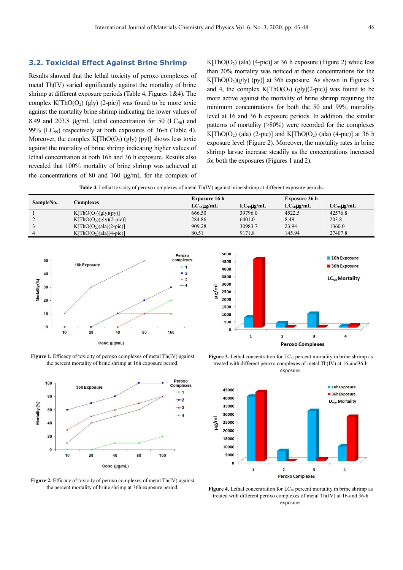#### **3.2. Toxicidal Effect Against Brine Shrimp**

Results showed that the lethal toxicity of peroxo complexes of metal Th(IV) varied significantly against the mortality of brine shrimp at different exposure periods (Table 4, Figures 1&4). The complex K[ThO( $O_2$ ) (gly) (2-pic)] was found to be more toxic against the mortality brine shrimp indicating the lower values of 8.49 and 203.8  $\mu$ g/mL lethal concentration for 50 (LC<sub>50</sub>) and 99% ( $LC_{99}$ ) respectively at both exposures of 36-h (Table 4). Moreover, the complex  $K[ThO(O<sub>2</sub>) (gly) (py)]$  shows less toxic against the mortality of brine shrimp indicating higher values of lethal concentration at both 16h and 36 h exposure. Results also revealed that 100% mortality of brine shrimp was achieved at the concentrations of 80 and 160 µg/mL for the complex of K[ThO( $O_2$ ) (ala) (4-pic)] at 36 h exposure (Figure 2) while less than 20% mortality was noticed at these concentrations for the K[ThO( $O<sub>2</sub>$ )(gly) (py)] at 36h exposure. As shown in Figures 3 and 4, the complex  $K[ThO(O_2) (gly)(2-pic)]$  was found to be more active against the mortality of brine shrimp requiring the minimum concentrations for both the 50 and 99% mortality level at 16 and 36 h exposure periods. In addition, the similar patterns of mortality (>80%) were recorded for the complexes K[ThO( $O_2$ ) (ala) (2-pic)] and K[ThO( $O_2$ ) (ala) (4-pic)] at 36 h exposure level (Figure 2). Moreover, the mortality rates in brine shrimp larvae increase steadily as the concentrations increased for both the exposures (Figures 1 and 2).

**Table 4.** Lethal toxicity of peroxo complexes of metal Th(IV) against brine shrimp at different exposure periods**.** 

| SampleNo. | <b>Complexes</b>                 | Exposure 16 h   |                 | Exposure 36 h   |                 |
|-----------|----------------------------------|-----------------|-----------------|-----------------|-----------------|
|           |                                  | $LC_{50}$ µg/mL | $LC_{99}$ µg/mL | $LC_{50}$ µg/mL | $LC_{99}$ µg/mL |
|           | K[ThO(O <sub>2</sub> )(gly)(py)] | 666.50          | 39796.0         | 4522.5          | 42576.8         |
|           | $K[ThO(O2)(gly)(2-pic)]$         | 284.86          | 6401.0          | 8.49            | 203.8           |
|           | $K[ThO(O2)(ala)(2-pic)]$         | 909.28          | 30983.7         | 23.94           | 1360.0          |
|           | $K[ThO(O2)(ala)(4-pic)]$         | 80.51           | 9171.8          | 145.94          | 27407.8         |



Figure 1. Efficacy of toxicity of peroxo complexes of metal Th(IV) against the percent mortality of brine shrimp at 16h exposure period.



**Figure 2.** Efficacy of toxicity of peroxo complexes of metal Th(IV) against the percent mortality of brine shrimp at 36h exposure period.



Figure 3. Lethal concentration for LC<sub>50</sub> percent mortality in brine shrimp as treated with different peroxo complexes of metal Th(IV) at 16-and36-h exposure.



Figure 4. Lethal concentration for LC<sub>99</sub> percent mortality in brine shrimp as treated with different peroxo complexes of metal Th(IV) at 16-and 36-h exposure.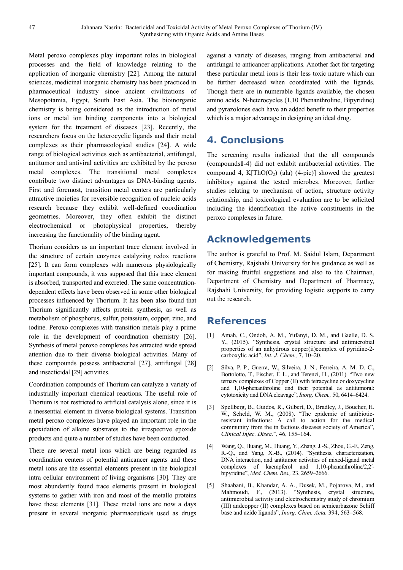Metal peroxo complexes play important roles in biological processes and the field of knowledge relating to the application of inorganic chemistry [22]. Among the natural sciences, medicinal inorganic chemistry has been practiced in pharmaceutical industry since ancient civilizations of Mesopotamia, Egypt, South East Asia. The bioinorganic chemistry is being considered as the introduction of metal ions or metal ion binding components into a biological system for the treatment of diseases [23]. Recently, the researchers focus on the heterocyclic ligands and their metal complexes as their pharmacological studies [24]. A wide range of biological activities such as antibacterial, antifungal, antitumor and antiviral activities are exhibited by the peroxo metal complexes. The transitional metal complexes contribute two distinct advantages as DNA-binding agents. First and foremost, transition metal centers are particularly attractive moieties for reversible recognition of nucleic acids research because they exhibit well-defined coordination geometries. Moreover, they often exhibit the distinct electrochemical or photophysical properties, thereby increasing the functionality of the binding agent.

Thorium considers as an important trace element involved in the structure of certain enzymes catalyzing redox reactions [25]. It can form complexes with numerous physiologically important compounds, it was supposed that this trace element is absorbed, transported and excreted. The same concentrationdependent effects have been observed in some other biological processes influenced by Thorium. It has been also found that Thorium significantly affects protein synthesis, as well as metabolism of phosphorus, sulfur, potassium, copper, zinc, and iodine. Peroxo complexes with transition metals play a prime role in the development of coordination chemistry [26]. Synthesis of metal peroxo complexes has attracted wide spread attention due to their diverse biological activities. Many of these compounds possess antibacterial [27], antifungal [28] and insecticidal [29] activities.

Coordination compounds of Thorium can catalyze a variety of industrially important chemical reactions. The useful role of Thorium is not restricted to artificial catalysis alone, since it is a inessential element in diverse biological systems. Transition metal peroxo complexes have played an important role in the epoxidation of alkene substrates to the irrespective epoxide products and quite a number of studies have been conducted.

There are several metal ions which are being regarded as coordination centers of potential anticancer agents and these metal ions are the essential elements present in the biological intra cellular environment of living organisms [30]. They are most abundantly found trace elements present in biological systems to gather with iron and most of the metallo proteins have these elements [31]. These metal ions are now a days present in several inorganic pharmaceuticals used as drugs against a variety of diseases, ranging from antibacterial and antifungal to anticancer applications. Another fact for targeting these particular metal ions is their less toxic nature which can be further decreased when coordinated with the ligands. Though there are in numerable ligands available, the chosen amino acids, N-heterocycles (1,10 Phenanthroline, Bipyridine) and pyrazolones each have an added benefit to their properties which is a major advantage in designing an ideal drug.

# **4. Conclusions**

The screening results indicated that the all compounds (compounds**1**-4) did not exhibit antibacterial activities. The compound 4,  $K[ThO(O<sub>2</sub>)$  (ala) (4-pic)] showed the greatest inhibitory against the tested microbes. Moreover, further studies relating to mechanism of action, structure activity relationship, and toxicological evaluation are to be solicited including the identification the active constituents in the peroxo complexes in future.

# **Acknowledgements**

The author is grateful to Prof. M. Saidul Islam, Department of Chemistry, Rajshahi University for his guidance as well as for making fruitful suggestions and also to the Chairman, Department of Chemistry and Department of Pharmacy, Rajshahi University, for providing logistic supports to carry out the research.

### **References**

- [1] Amah, C., Ondoh, A. M., Yufanyi, D. M., and Gaelle, D. S. Y., (2015). "Synthesis, crystal structure and antimicrobial properties of an anhydrous copper(ii)complex of pyridine-2 carboxylic acid", *Int. J. Chem.,* 7, 10–20.
- [2] Silva, P. P., Guerra, W., Silveira, J. N., Ferreira, A. M. D. C., Bortolotto, T., Fischer, F. L., and Terenzi, H., (2011). "Two new ternary complexes of Copper (II) with tetracycline or doxycycline and 1,10-phenanthroline and their potential as antitumoral: cytotoxicity and DNA cleavage", *Inorg. Chem.,* 50, 6414–6424.
- [3] Spellberg, B., Guidos, R., Gilbert, D., Bradley, J., Boucher, H. W., Scheld, W. M., (2008). "The epidemic of antibioticresistant infections: A call to action for the medical community from the in factious diseases society of America", *Clinical Infec. Disea.*", 46, 155–164.
- [4] Wang, Q., Huang, M., Huang, Y., Zhang, J.-S., Zhou, G.-F., Zeng, R.-Q., and Yang, X.-B., (2014). "Synthesis, characterization, DNA interaction, and antitumor activities of mixed-ligand metal complexes of kaempferol and 1,10-phenanthroline/2,2<sup>'-1</sup> bipyridine", *Med. Chem. Res.,* 23, 2659–2666.
- [5] Shaabani, B., Khandar, A. A., Dusek, M., Pojarova, M., and Mahmoudi, F., (2013). "Synthesis, crystal structure, antimicrobial activity and electrochemistry study of chromium (III) andcopper (II) complexes based on semicarbazone Schiff base and azide ligands", *Inorg. Chim. Acta,* 394, 563–568.